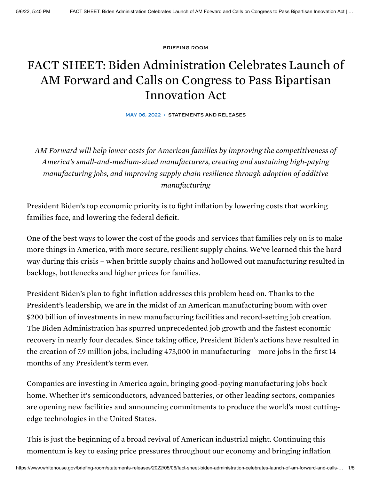[BRIEFING](https://www.whitehouse.gov/briefing-room/) ROOM

## FACT SHEET: Biden Administration Celebrates Launch of AM Forward and Calls on Congress to Pass Bipartisan Innovation Act

MAY 06, 2022 • [STATEMENTS](https://www.whitehouse.gov/briefing-room/statements-releases/) AND RELEASES

*AM Forward will help lower costs for American families by improving the competitiveness of America's small-and-medium-sized manufacturers, creating and sustaining high-paying manufacturing jobs, and improving supply chain resilience through adoption of additive manufacturing*

President Biden's top economic priority is to fight inflation by lowering costs that working families face, and lowering the federal deficit.

One of the best ways to lower the cost of the goods and services that families rely on is to make more things in America, with more secure, resilient supply chains. We've learned this the hard way during this crisis – when brittle supply chains and hollowed out manufacturing resulted in backlogs, bottlenecks and higher prices for families.

President Biden's plan to fight inflation addresses this problem head on. Thanks to the President's leadership, we are in the midst of an American manufacturing boom with over \$200 billion of investments in new manufacturing facilities and record-setting job creation. The Biden Administration has spurred unprecedented job growth and the fastest economic recovery in nearly four decades. Since taking office, President Biden's actions have resulted in the creation of 7.9 million jobs, including 473,000 in manufacturing – more jobs in the first 14 months of any President's term ever.

Companies are investing in America again, bringing good-paying manufacturing jobs back home. Whether it's semiconductors, advanced batteries, or other leading sectors, companies are opening new facilities and announcing commitments to produce the world's most cuttingedge technologies in the United States.

This is just the beginning of a broad revival of American industrial might. Continuing this momentum is key to easing price pressures throughout our economy and bringing inflation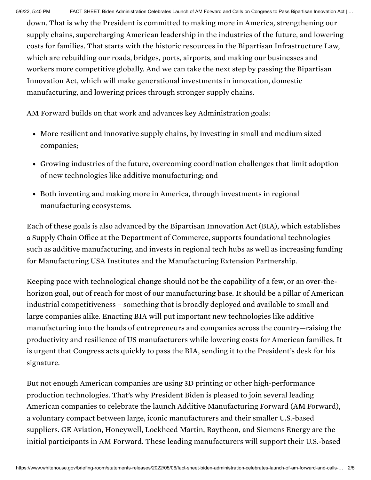down. That is why the President is committed to making more in America, strengthening our supply chains, supercharging American leadership in the industries of the future, and lowering costs for families. That starts with the historic resources in the Bipartisan Infrastructure Law, which are rebuilding our roads, bridges, ports, airports, and making our businesses and workers more competitive globally. And we can take the next step by passing the Bipartisan Innovation Act, which will make generational investments in innovation, domestic manufacturing, and lowering prices through stronger supply chains.

AM Forward builds on that work and advances key Administration goals:

- More resilient and innovative supply chains, by investing in small and medium sized companies;
- Growing industries of the future, overcoming coordination challenges that limit adoption of new technologies like additive manufacturing; and
- Both inventing and making more in America, through investments in regional manufacturing ecosystems.

Each of these goals is also advanced by the Bipartisan Innovation Act (BIA), which establishes a Supply Chain Office at the Department of Commerce, supports foundational technologies such as additive manufacturing, and invests in regional tech hubs as well as increasing funding for Manufacturing USA Institutes and the Manufacturing Extension Partnership.

Keeping pace with technological change should not be the capability of a few, or an over-thehorizon goal, out of reach for most of our manufacturing base. It should be a pillar of American industrial competitiveness – something that is broadly deployed and available to small and large companies alike. Enacting BIA will put important new technologies like additive manufacturing into the hands of entrepreneurs and companies across the country—raising the productivity and resilience of US manufacturers while lowering costs for American families. It is urgent that Congress acts quickly to pass the BIA, sending it to the President's desk for his signature.

But not enough American companies are using 3D printing or other high-performance production technologies. That's why President Biden is pleased to join several leading American companies to celebrate the launch Additive Manufacturing Forward (AM Forward), a voluntary compact between large, iconic manufacturers and their smaller U.S.-based suppliers. GE Aviation, Honeywell, Lockheed Martin, Raytheon, and Siemens Energy are the initial participants in AM Forward. These leading manufacturers will support their U.S.-based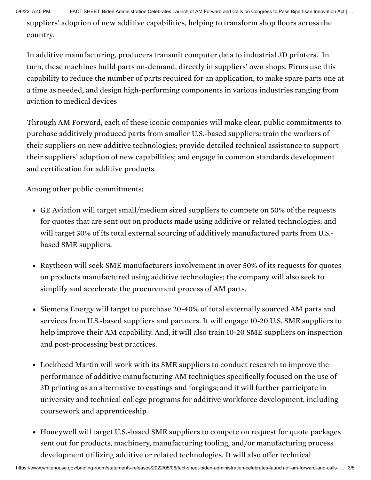5/6/22, 5:40 PM FACT SHEET: Biden Administration Celebrates Launch of AM Forward and Calls on Congress to Pass Bipartisan Innovation Act | …

suppliers' adoption of new additive capabilities, helping to transform shop floors across the country.

In additive manufacturing, producers transmit computer data to industrial 3D printers. In turn, these machines build parts on-demand, directly in suppliers' own shops. Firms use this capability to reduce the number of parts required for an application, to make spare parts one at a time as needed, and design high-performing components in various industries ranging from aviation to medical devices

Through AM Forward, each of these iconic companies will make clear, public [commitments](https://www.astroa.org/amforward) to purchase additively produced parts from smaller U.S.-based suppliers; train the workers of their suppliers on new additive technologies; provide detailed technical assistance to support their suppliers' adoption of new capabilities; and engage in common standards development and certification for additive products.

Among other public commitments:

- GE Aviation will target small/medium sized suppliers to compete on 50% of the requests for quotes that are sent out on products made using additive or related technologies; and will target 30% of its total external sourcing of additively manufactured parts from U.S. based SME suppliers.
- Raytheon will seek SME manufacturers involvement in over 50% of its requests for quotes on products manufactured using additive technologies; the company will also seek to simplify and accelerate the procurement process of AM parts.
- Siemens Energy will target to purchase 20-40% of total externally sourced AM parts and services from U.S.-based suppliers and partners. It will engage 10-20 U.S. SME suppliers to help improve their AM capability. And, it will also train 10-20 SME suppliers on inspection and post-processing best practices.
- Lockheed Martin will work with its SME suppliers to conduct research to improve the performance of additive manufacturing AM techniques specifically focused on the use of 3D printing as an alternative to castings and forgings; and it will further participate in university and technical college programs for additive workforce development, including coursework and apprenticeship.
- Honeywell will target U.S.-based SME suppliers to compete on request for quote packages sent out for products, machinery, manufacturing tooling, and/or manufacturing process development utilizing additive or related technologies. It will also offer technical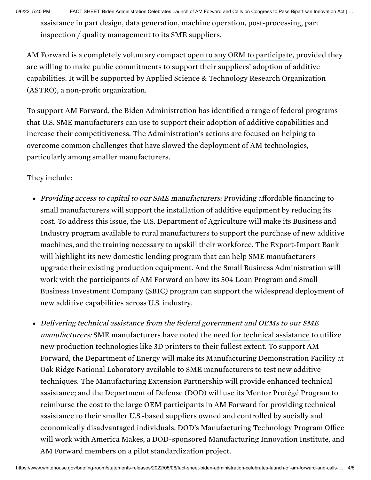assistance in part design, data generation, machine operation, post-processing, part inspection / quality management to its SME suppliers.

AM Forward is a completely voluntary compact open to any OEM to [participate](https://www.astroa.org/amforward), provided they are willing to make public commitments to support their suppliers' adoption of additive capabilities. It will be supported by Applied Science & Technology Research Organization (ASTRO), a non-profit organization.

To support AM Forward, the Biden Administration has identified a range of federal programs that U.S. SME manufacturers can use to support their adoption of additive capabilities and increase their competitiveness. The Administration's actions are focused on helping to overcome common challenges that have slowed the deployment of AM technologies, particularly among smaller manufacturers.

## They include:

- Providing access to capital to our SME manufacturers: Providing affordable financing to small manufacturers will support the installation of additive equipment by reducing its cost. To address this issue, the U.S. Department of Agriculture will make its Business and Industry program available to rural manufacturers to support the purchase of new additive machines, and the training necessary to upskill their workforce. The Export-Import Bank will highlight its new domestic lending program that can help SME manufacturers upgrade their existing production equipment. And the Small Business Administration will work with the participants of AM Forward on how its 504 Loan Program and Small Business Investment Company (SBIC) program can support the widespread deployment of new additive capabilities across U.S. industry.
- Delivering technical assistance from the federal government and OEMs to our SME *manufacturers:* SME manufacturers have noted the need for technical [assistance](https://sites.lsa.umich.edu/stevensamford/wp-content/uploads/sites/552/2017/10/Samford-et-al-BAP-2017.pdf) to utilize new production technologies like 3D printers to their fullest extent. To support AM Forward, the Department of Energy will make its Manufacturing Demonstration Facility at Oak Ridge National Laboratory available to SME manufacturers to test new additive techniques. The Manufacturing Extension Partnership will provide enhanced technical assistance; and the Department of Defense (DOD) will use its Mentor Protégé Program to reimburse the cost to the large OEM participants in AM Forward for providing technical assistance to their smaller U.S.-based suppliers owned and controlled by socially and economically disadvantaged individuals. DOD's Manufacturing Technology Program Office will work with America Makes, a DOD-sponsored Manufacturing Innovation Institute, and AM Forward members on a pilot standardization project.